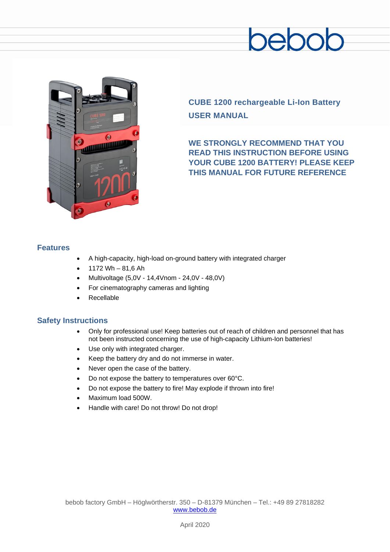## pebol



**CUBE 1200 rechargeable Li-Ion Battery USER MANUAL**

**WE STRONGLY RECOMMEND THAT YOU READ THIS INSTRUCTION BEFORE USING YOUR CUBE 1200 BATTERY! PLEASE KEEP THIS MANUAL FOR FUTURE REFERENCE**

#### **Features**

- A high-capacity, high-load on-ground battery with integrated charger
- 1172 Wh 81,6 Ah
- Multivoltage (5,0V 14,4Vnom 24,0V 48,0V)
- For cinematography cameras and lighting
- **Recellable**

#### **Safety Instructions**

- Only for professional use! Keep batteries out of reach of children and personnel that has not been instructed concerning the use of high-capacity Lithium-Ion batteries!
- Use only with integrated charger.
- Keep the battery dry and do not immerse in water.
- Never open the case of the battery.
- Do not expose the battery to temperatures over 60°C.
- Do not expose the battery to fire! May explode if thrown into fire!
- Maximum load 500W.
- Handle with care! Do not throw! Do not drop!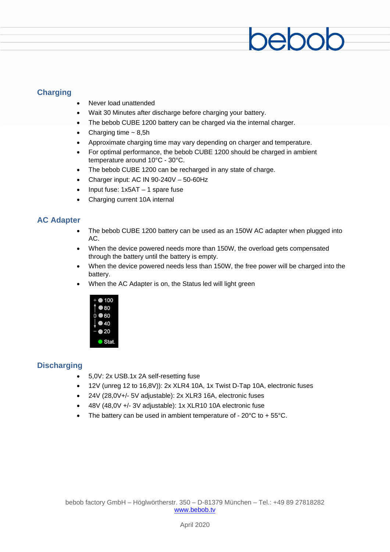#### **Charging**

- Never load unattended
- Wait 30 Minutes after discharge before charging your battery.
- The bebob CUBE 1200 battery can be charged via the internal charger.
- Charging time  $\sim$  8,5h
- Approximate charging time may vary depending on charger and temperature.
- For optimal performance, the bebob CUBE 1200 should be charged in ambient temperature around 10°C - 30°C.

20C

- The bebob CUBE 1200 can be recharged in any state of charge.
- Charger input: AC IN 90-240V 50-60Hz
- Input fuse: 1x5AT 1 spare fuse
- Charging current 10A internal

#### **AC Adapter**

- The bebob CUBE 1200 battery can be used as an 150W AC adapter when plugged into AC.
- When the device powered needs more than 150W, the overload gets compensated through the battery until the battery is empty.
- When the device powered needs less than 150W, the free power will be charged into the battery.
- When the AC Adapter is on, the Status led will light green



#### **Discharging**

- 5,0V: 2x USB.1x 2A self-resetting fuse
- 12V (unreg 12 to 16,8V)): 2x XLR4 10A, 1x Twist D-Tap 10A, electronic fuses
- 24V (28,0V+/- 5V adjustable): 2x XLR3 16A, electronic fuses
- 48V (48,0V +/- 3V adjustable): 1x XLR10 10A electronic fuse
- The battery can be used in ambient temperature of  $20^{\circ}$ C to +  $55^{\circ}$ C.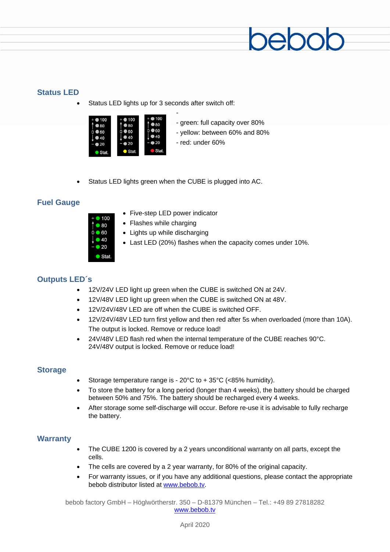#### **Status LED**

Status LED lights up for 3 seconds after switch off:



- green: full capacity over 80%
- yellow: between 60% and 80%
- red: under 60%
- Status LED lights green when the CUBE is plugged into AC.

-

#### **Fuel Gauge**



- Five-step LED power indicator
- Flashes while charging
- Lights up while discharging
- Last LED (20%) flashes when the capacity comes under 10%.

#### **Outputs LED´s**

- 12V/24V LED light up green when the CUBE is switched ON at 24V.
- 12V/48V LED light up green when the CUBE is switched ON at 48V.
- 12V/24V/48V LED are off when the CUBE is switched OFF.
- 12V/24V/48V LED turn first yellow and then red after 5s when overloaded (more than 10A). The output is locked. Remove or reduce load!
- 24V/48V LED flash red when the internal temperature of the CUBE reaches 90°C. 24V/48V output is locked. Remove or reduce load!

#### **Storage**

- Storage temperature range is 20°C to + 35°C (<85% humidity).
- To store the battery for a long period (longer than 4 weeks), the battery should be charged between 50% and 75%. The battery should be recharged every 4 weeks.
- After storage some self-discharge will occur. Before re-use it is advisable to fully recharge the battery.

#### **Warranty**

- The CUBE 1200 is covered by a 2 years unconditional warranty on all parts, except the cells.
- The cells are covered by a 2 year warranty, for 80% of the original capacity.
- For warranty issues, or if you have any additional questions, please contact the appropriate bebob distributor listed at [www.bebob.tv.](http://www.bebob.tv/)

bebob factory GmbH – Höglwörtherstr. 350 – D-81379 München – Tel.: +49 89 27818282 [www.bebob.tv](http://www.bebob.tv/)

April 2020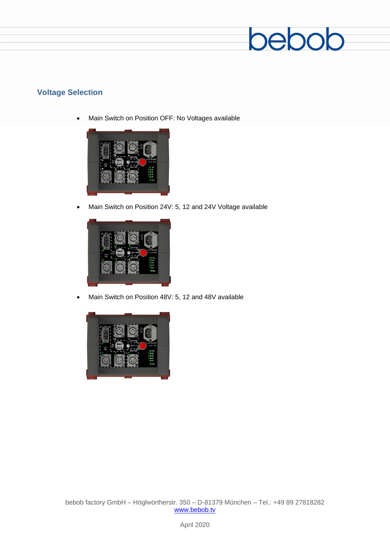

#### **Voltage Selection**

• Main Switch on Position OFF: No Voltages available



• Main Switch on Position 24V: 5, 12 and 24V Voltage available



• Main Switch on Position 48V: 5, 12 and 48V available

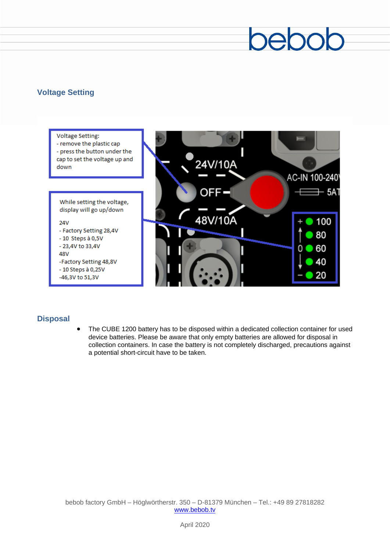# ebc

#### **Voltage Setting**



#### **Disposal**

• The CUBE 1200 battery has to be disposed within a dedicated collection container for used device batteries. Please be aware that only empty batteries are allowed for disposal in collection containers. In case the battery is not completely discharged, precautions against a potential short-circuit have to be taken.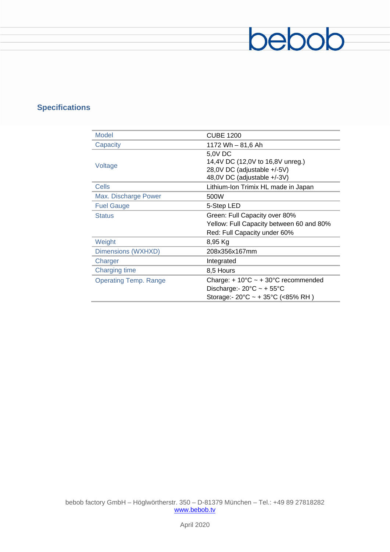### **Specifications**

| <b>Model</b>                 | <b>CUBE 1200</b>                                                                                                                                                 |
|------------------------------|------------------------------------------------------------------------------------------------------------------------------------------------------------------|
| Capacity                     | 1172 Wh - 81,6 Ah                                                                                                                                                |
| Voltage                      | 5,0V DC<br>14,4V DC (12,0V to 16,8V unreg.)<br>28,0V DC (adjustable +/-5V)<br>48,0V DC (adjustable +/-3V)                                                        |
| Cells                        | Lithium-Ion Trimix HL made in Japan                                                                                                                              |
| Max. Discharge Power         | 500W                                                                                                                                                             |
| <b>Fuel Gauge</b>            | 5-Step LED                                                                                                                                                       |
| <b>Status</b>                | Green: Full Capacity over 80%                                                                                                                                    |
|                              | Yellow: Full Capacity between 60 and 80%<br>Red: Full Capacity under 60%                                                                                         |
| Weight                       | 8,95 Kg                                                                                                                                                          |
| Dimensions (WXHXD)           | 208x356x167mm                                                                                                                                                    |
| Charger                      | Integrated                                                                                                                                                       |
| <b>Charging time</b>         | 8,5 Hours                                                                                                                                                        |
| <b>Operating Temp. Range</b> | Charge: $+10^{\circ}$ C ~ $+30^{\circ}$ C recommended<br>Discharge:- $20^{\circ}$ C ~ + $55^{\circ}$ C<br>Storage:- $20^{\circ}$ C ~ + 35 $^{\circ}$ C (<85% RH) |

bebob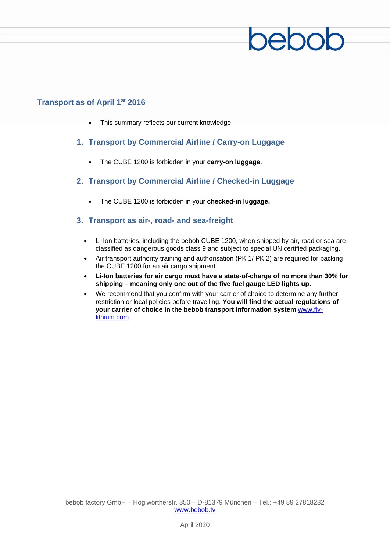### eh

#### **Transport as of April 1st 2016**

- This summary reflects our current knowledge.
- **1. Transport by Commercial Airline / Carry-on Luggage**
	- The CUBE 1200 is forbidden in your **carry-on luggage.**
- **2. Transport by Commercial Airline / Checked-in Luggage**
	- The CUBE 1200 is forbidden in your **checked-in luggage.**

#### **3. Transport as air-, road- and sea-freight**

- Li-Ion batteries, including the bebob CUBE 1200, when shipped by air, road or sea are classified as dangerous goods class 9 and subject to special UN certified packaging.
- Air transport authority training and authorisation (PK 1/ PK 2) are required for packing the CUBE 1200 for an air cargo shipment.
- **Li-Ion batteries for air cargo must have a state-of-charge of no more than 30% for shipping – meaning only one out of the five fuel gauge LED lights up.**
- We recommend that you confirm with your carrier of choice to determine any further restriction or local policies before travelling. **You will find the actual regulations of your carrier of choice in the bebob transport information system** www.flylithium.com.